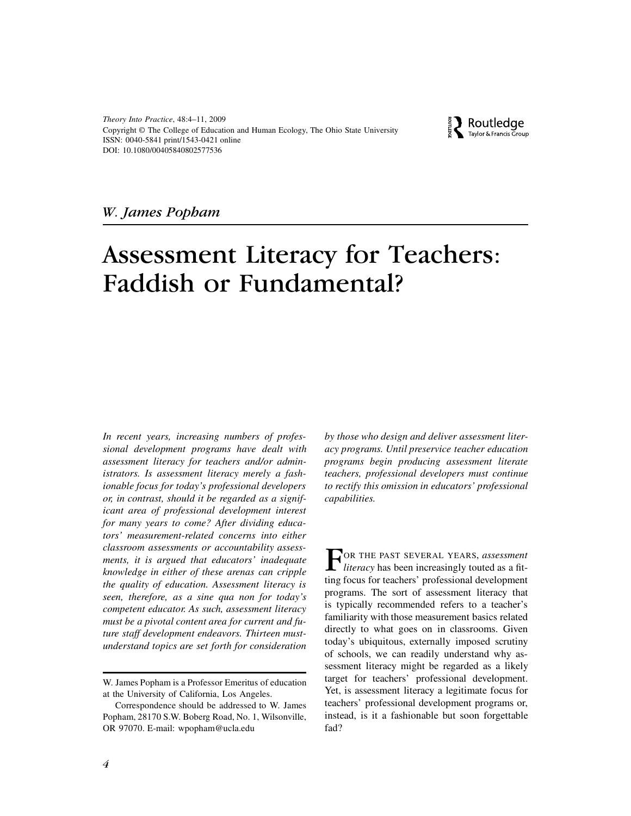Theory Into Practice, 48:4–11, 2009 Copyright © The College of Education and Human Ecology, The Ohio State University ISSN: 0040-5841 print/1543-0421 online DOI: 10.1080/00405840802577536



## W. James Popham

# Assessment Literacy for Teachers: Faddish or Fundamental?

In recent years, increasing numbers of professional development programs have dealt with assessment literacy for teachers and/or administrators. Is assessment literacy merely a fashionable focus for today's professional developers or, in contrast, should it be regarded as a significant area of professional development interest for many years to come? After dividing educators' measurement-related concerns into either classroom assessments or accountability assessments, it is argued that educators' inadequate knowledge in either of these arenas can cripple the quality of education. Assessment literacy is seen, therefore, as a sine qua non for today's competent educator. As such, assessment literacy must be a pivotal content area for current and future staff development endeavors. Thirteen mustunderstand topics are set forth for consideration

by those who design and deliver assessment literacy programs. Until preservice teacher education programs begin producing assessment literate teachers, professional developers must continue to rectify this omission in educators' professional capabilities.

**FOR THE PAST SEVERAL YEARS, assessment** literacy has been increasingly touted as a fitting focus for teachers' professional development programs. The sort of assessment literacy that is typically recommended refers to a teacher's familiarity with those measurement basics related directly to what goes on in classrooms. Given today's ubiquitous, externally imposed scrutiny of schools, we can readily understand why assessment literacy might be regarded as a likely target for teachers' professional development. Yet, is assessment literacy a legitimate focus for teachers' professional development programs or, instead, is it a fashionable but soon forgettable fad?

W. James Popham is a Professor Emeritus of education at the University of California, Los Angeles.

Correspondence should be addressed to W. James Popham, 28170 S.W. Boberg Road, No. 1, Wilsonville, OR 97070. E-mail: wpopham@ucla.edu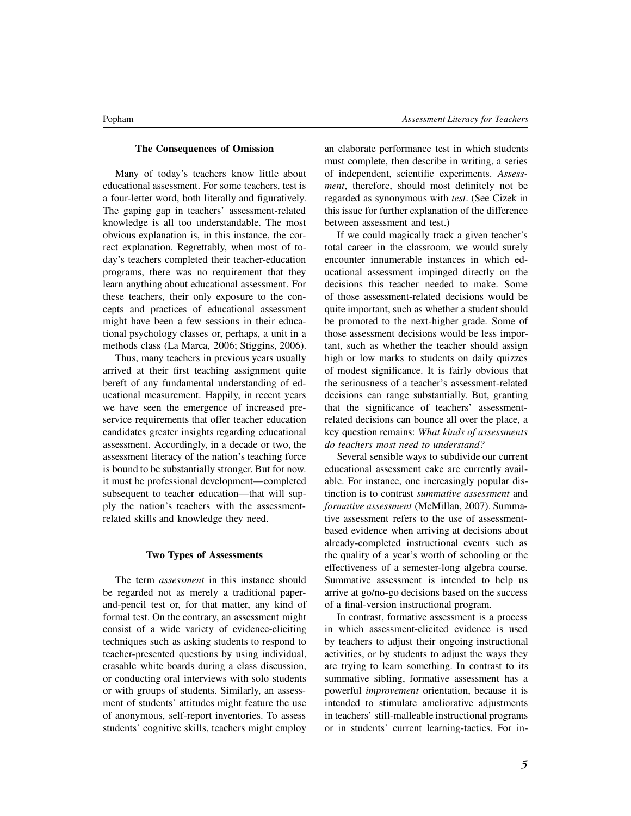#### The Consequences of Omission

Many of today's teachers know little about educational assessment. For some teachers, test is a four-letter word, both literally and figuratively. The gaping gap in teachers' assessment-related knowledge is all too understandable. The most obvious explanation is, in this instance, the correct explanation. Regrettably, when most of today's teachers completed their teacher-education programs, there was no requirement that they learn anything about educational assessment. For these teachers, their only exposure to the concepts and practices of educational assessment might have been a few sessions in their educational psychology classes or, perhaps, a unit in a methods class (La Marca, 2006; Stiggins, 2006).

Thus, many teachers in previous years usually arrived at their first teaching assignment quite bereft of any fundamental understanding of educational measurement. Happily, in recent years we have seen the emergence of increased preservice requirements that offer teacher education candidates greater insights regarding educational assessment. Accordingly, in a decade or two, the assessment literacy of the nation's teaching force is bound to be substantially stronger. But for now. it must be professional development—completed subsequent to teacher education—that will supply the nation's teachers with the assessmentrelated skills and knowledge they need.

### Two Types of Assessments

The term *assessment* in this instance should be regarded not as merely a traditional paperand-pencil test or, for that matter, any kind of formal test. On the contrary, an assessment might consist of a wide variety of evidence-eliciting techniques such as asking students to respond to teacher-presented questions by using individual, erasable white boards during a class discussion, or conducting oral interviews with solo students or with groups of students. Similarly, an assessment of students' attitudes might feature the use of anonymous, self-report inventories. To assess students' cognitive skills, teachers might employ an elaborate performance test in which students must complete, then describe in writing, a series of independent, scientific experiments. Assessment, therefore, should most definitely not be regarded as synonymous with test. (See Cizek in this issue for further explanation of the difference between assessment and test.)

If we could magically track a given teacher's total career in the classroom, we would surely encounter innumerable instances in which educational assessment impinged directly on the decisions this teacher needed to make. Some of those assessment-related decisions would be quite important, such as whether a student should be promoted to the next-higher grade. Some of those assessment decisions would be less important, such as whether the teacher should assign high or low marks to students on daily quizzes of modest significance. It is fairly obvious that the seriousness of a teacher's assessment-related decisions can range substantially. But, granting that the significance of teachers' assessmentrelated decisions can bounce all over the place, a key question remains: What kinds of assessments do teachers most need to understand?

Several sensible ways to subdivide our current educational assessment cake are currently available. For instance, one increasingly popular distinction is to contrast summative assessment and formative assessment (McMillan, 2007). Summative assessment refers to the use of assessmentbased evidence when arriving at decisions about already-completed instructional events such as the quality of a year's worth of schooling or the effectiveness of a semester-long algebra course. Summative assessment is intended to help us arrive at go/no-go decisions based on the success of a final-version instructional program.

In contrast, formative assessment is a process in which assessment-elicited evidence is used by teachers to adjust their ongoing instructional activities, or by students to adjust the ways they are trying to learn something. In contrast to its summative sibling, formative assessment has a powerful improvement orientation, because it is intended to stimulate ameliorative adjustments in teachers' still-malleable instructional programs or in students' current learning-tactics. For in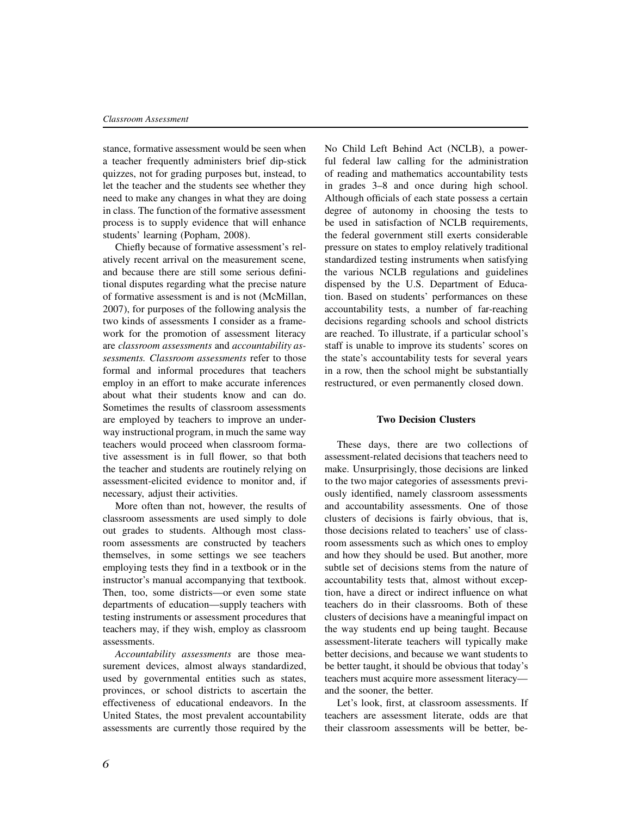stance, formative assessment would be seen when a teacher frequently administers brief dip-stick quizzes, not for grading purposes but, instead, to let the teacher and the students see whether they need to make any changes in what they are doing in class. The function of the formative assessment process is to supply evidence that will enhance students' learning (Popham, 2008).

Chiefly because of formative assessment's relatively recent arrival on the measurement scene, and because there are still some serious definitional disputes regarding what the precise nature of formative assessment is and is not (McMillan, 2007), for purposes of the following analysis the two kinds of assessments I consider as a framework for the promotion of assessment literacy are classroom assessments and accountability assessments. Classroom assessments refer to those formal and informal procedures that teachers employ in an effort to make accurate inferences about what their students know and can do. Sometimes the results of classroom assessments are employed by teachers to improve an underway instructional program, in much the same way teachers would proceed when classroom formative assessment is in full flower, so that both the teacher and students are routinely relying on assessment-elicited evidence to monitor and, if necessary, adjust their activities.

More often than not, however, the results of classroom assessments are used simply to dole out grades to students. Although most classroom assessments are constructed by teachers themselves, in some settings we see teachers employing tests they find in a textbook or in the instructor's manual accompanying that textbook. Then, too, some districts—or even some state departments of education—supply teachers with testing instruments or assessment procedures that teachers may, if they wish, employ as classroom assessments.

Accountability assessments are those measurement devices, almost always standardized, used by governmental entities such as states, provinces, or school districts to ascertain the effectiveness of educational endeavors. In the United States, the most prevalent accountability assessments are currently those required by the

No Child Left Behind Act (NCLB), a powerful federal law calling for the administration of reading and mathematics accountability tests in grades 3–8 and once during high school. Although officials of each state possess a certain degree of autonomy in choosing the tests to be used in satisfaction of NCLB requirements, the federal government still exerts considerable pressure on states to employ relatively traditional standardized testing instruments when satisfying the various NCLB regulations and guidelines dispensed by the U.S. Department of Education. Based on students' performances on these accountability tests, a number of far-reaching decisions regarding schools and school districts are reached. To illustrate, if a particular school's staff is unable to improve its students' scores on the state's accountability tests for several years in a row, then the school might be substantially restructured, or even permanently closed down.

## Two Decision Clusters

These days, there are two collections of assessment-related decisions that teachers need to make. Unsurprisingly, those decisions are linked to the two major categories of assessments previously identified, namely classroom assessments and accountability assessments. One of those clusters of decisions is fairly obvious, that is, those decisions related to teachers' use of classroom assessments such as which ones to employ and how they should be used. But another, more subtle set of decisions stems from the nature of accountability tests that, almost without exception, have a direct or indirect influence on what teachers do in their classrooms. Both of these clusters of decisions have a meaningful impact on the way students end up being taught. Because assessment-literate teachers will typically make better decisions, and because we want students to be better taught, it should be obvious that today's teachers must acquire more assessment literacy and the sooner, the better.

Let's look, first, at classroom assessments. If teachers are assessment literate, odds are that their classroom assessments will be better, be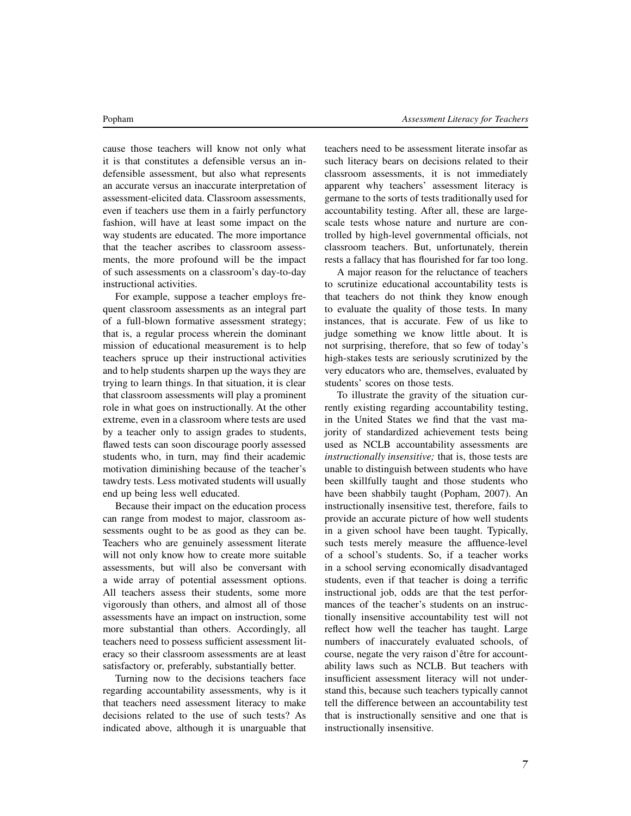cause those teachers will know not only what it is that constitutes a defensible versus an indefensible assessment, but also what represents an accurate versus an inaccurate interpretation of assessment-elicited data. Classroom assessments, even if teachers use them in a fairly perfunctory fashion, will have at least some impact on the way students are educated. The more importance that the teacher ascribes to classroom assessments, the more profound will be the impact of such assessments on a classroom's day-to-day instructional activities.

For example, suppose a teacher employs frequent classroom assessments as an integral part of a full-blown formative assessment strategy; that is, a regular process wherein the dominant mission of educational measurement is to help teachers spruce up their instructional activities and to help students sharpen up the ways they are trying to learn things. In that situation, it is clear that classroom assessments will play a prominent role in what goes on instructionally. At the other extreme, even in a classroom where tests are used by a teacher only to assign grades to students, flawed tests can soon discourage poorly assessed students who, in turn, may find their academic motivation diminishing because of the teacher's tawdry tests. Less motivated students will usually end up being less well educated.

Because their impact on the education process can range from modest to major, classroom assessments ought to be as good as they can be. Teachers who are genuinely assessment literate will not only know how to create more suitable assessments, but will also be conversant with a wide array of potential assessment options. All teachers assess their students, some more vigorously than others, and almost all of those assessments have an impact on instruction, some more substantial than others. Accordingly, all teachers need to possess sufficient assessment literacy so their classroom assessments are at least satisfactory or, preferably, substantially better.

Turning now to the decisions teachers face regarding accountability assessments, why is it that teachers need assessment literacy to make decisions related to the use of such tests? As indicated above, although it is unarguable that teachers need to be assessment literate insofar as such literacy bears on decisions related to their classroom assessments, it is not immediately apparent why teachers' assessment literacy is germane to the sorts of tests traditionally used for accountability testing. After all, these are largescale tests whose nature and nurture are controlled by high-level governmental officials, not classroom teachers. But, unfortunately, therein rests a fallacy that has flourished for far too long.

A major reason for the reluctance of teachers to scrutinize educational accountability tests is that teachers do not think they know enough to evaluate the quality of those tests. In many instances, that is accurate. Few of us like to judge something we know little about. It is not surprising, therefore, that so few of today's high-stakes tests are seriously scrutinized by the very educators who are, themselves, evaluated by students' scores on those tests.

To illustrate the gravity of the situation currently existing regarding accountability testing, in the United States we find that the vast majority of standardized achievement tests being used as NCLB accountability assessments are instructionally insensitive; that is, those tests are unable to distinguish between students who have been skillfully taught and those students who have been shabbily taught (Popham, 2007). An instructionally insensitive test, therefore, fails to provide an accurate picture of how well students in a given school have been taught. Typically, such tests merely measure the affluence-level of a school's students. So, if a teacher works in a school serving economically disadvantaged students, even if that teacher is doing a terrific instructional job, odds are that the test performances of the teacher's students on an instructionally insensitive accountability test will not reflect how well the teacher has taught. Large numbers of inaccurately evaluated schools, of course, negate the very raison d'être for accountability laws such as NCLB. But teachers with insufficient assessment literacy will not understand this, because such teachers typically cannot tell the difference between an accountability test that is instructionally sensitive and one that is instructionally insensitive.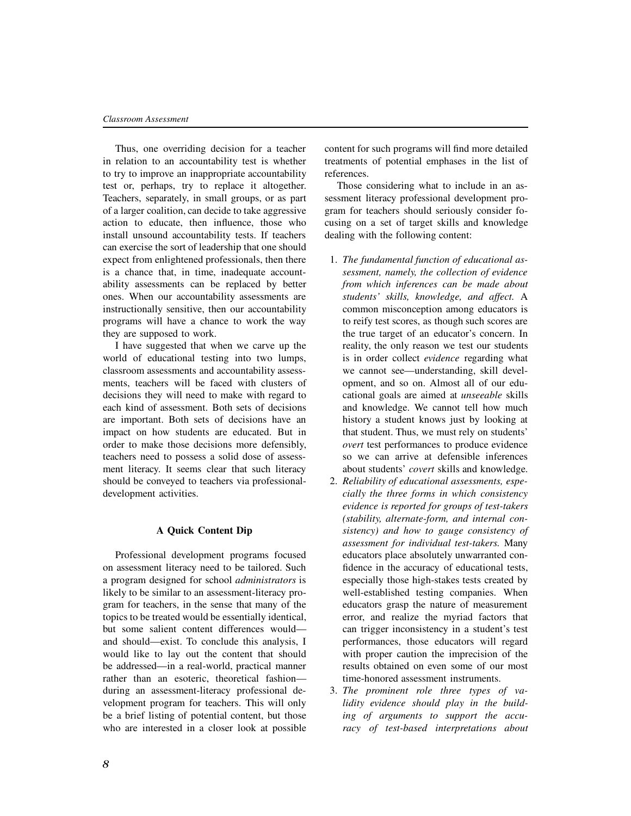Thus, one overriding decision for a teacher in relation to an accountability test is whether to try to improve an inappropriate accountability test or, perhaps, try to replace it altogether. Teachers, separately, in small groups, or as part of a larger coalition, can decide to take aggressive action to educate, then influence, those who install unsound accountability tests. If teachers can exercise the sort of leadership that one should expect from enlightened professionals, then there is a chance that, in time, inadequate accountability assessments can be replaced by better ones. When our accountability assessments are instructionally sensitive, then our accountability programs will have a chance to work the way they are supposed to work.

I have suggested that when we carve up the world of educational testing into two lumps, classroom assessments and accountability assessments, teachers will be faced with clusters of decisions they will need to make with regard to each kind of assessment. Both sets of decisions are important. Both sets of decisions have an impact on how students are educated. But in order to make those decisions more defensibly, teachers need to possess a solid dose of assessment literacy. It seems clear that such literacy should be conveyed to teachers via professionaldevelopment activities.

## A Quick Content Dip

Professional development programs focused on assessment literacy need to be tailored. Such a program designed for school administrators is likely to be similar to an assessment-literacy program for teachers, in the sense that many of the topics to be treated would be essentially identical, but some salient content differences would and should—exist. To conclude this analysis, I would like to lay out the content that should be addressed—in a real-world, practical manner rather than an esoteric, theoretical fashion during an assessment-literacy professional development program for teachers. This will only be a brief listing of potential content, but those who are interested in a closer look at possible

content for such programs will find more detailed treatments of potential emphases in the list of references.

Those considering what to include in an assessment literacy professional development program for teachers should seriously consider focusing on a set of target skills and knowledge dealing with the following content:

- 1. The fundamental function of educational assessment, namely, the collection of evidence from which inferences can be made about students' skills, knowledge, and affect. A common misconception among educators is to reify test scores, as though such scores are the true target of an educator's concern. In reality, the only reason we test our students is in order collect evidence regarding what we cannot see—understanding, skill development, and so on. Almost all of our educational goals are aimed at unseeable skills and knowledge. We cannot tell how much history a student knows just by looking at that student. Thus, we must rely on students' overt test performances to produce evidence so we can arrive at defensible inferences about students' covert skills and knowledge.
- 2. Reliability of educational assessments, especially the three forms in which consistency evidence is reported for groups of test-takers (stability, alternate-form, and internal consistency) and how to gauge consistency of assessment for individual test-takers. Many educators place absolutely unwarranted confidence in the accuracy of educational tests, especially those high-stakes tests created by well-established testing companies. When educators grasp the nature of measurement error, and realize the myriad factors that can trigger inconsistency in a student's test performances, those educators will regard with proper caution the imprecision of the results obtained on even some of our most time-honored assessment instruments.
- 3. The prominent role three types of validity evidence should play in the building of arguments to support the accuracy of test-based interpretations about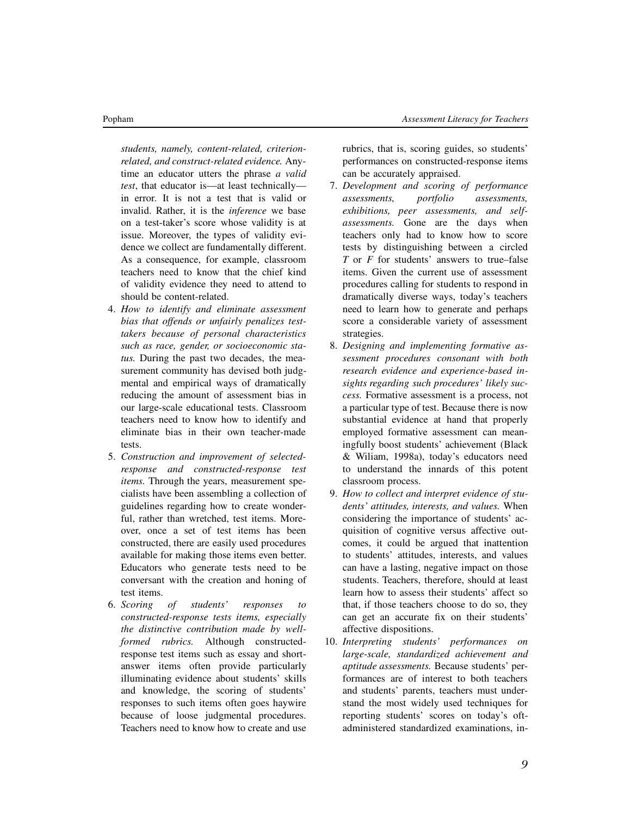students, namely, content-related, criterionrelated, and construct-related evidence. Anytime an educator utters the phrase *a valid* test, that educator is—at least technically in error. It is not a test that is valid or invalid. Rather, it is the inference we base on a test-taker's score whose validity is at issue. Moreover, the types of validity evidence we collect are fundamentally different. As a consequence, for example, classroom teachers need to know that the chief kind of validity evidence they need to attend to should be content-related.

- 4. How to identify and eliminate assessment bias that offends or unfairly penalizes testtakers because of personal characteristics such as race, gender, or socioeconomic status. During the past two decades, the measurement community has devised both judgmental and empirical ways of dramatically reducing the amount of assessment bias in our large-scale educational tests. Classroom teachers need to know how to identify and eliminate bias in their own teacher-made tests.
- 5. Construction and improvement of selectedresponse and constructed-response test items. Through the years, measurement specialists have been assembling a collection of guidelines regarding how to create wonderful, rather than wretched, test items. Moreover, once a set of test items has been constructed, there are easily used procedures available for making those items even better. Educators who generate tests need to be conversant with the creation and honing of test items.
- 6. Scoring of students' responses to constructed-response tests items, especially the distinctive contribution made by wellformed rubrics. Although constructedresponse test items such as essay and shortanswer items often provide particularly illuminating evidence about students' skills and knowledge, the scoring of students' responses to such items often goes haywire because of loose judgmental procedures. Teachers need to know how to create and use

rubrics, that is, scoring guides, so students' performances on constructed-response items can be accurately appraised.

- 7. Development and scoring of performance assessments, portfolio assessments, exhibitions, peer assessments, and selfassessments. Gone are the days when teachers only had to know how to score tests by distinguishing between a circled T or  $F$  for students' answers to true–false items. Given the current use of assessment procedures calling for students to respond in dramatically diverse ways, today's teachers need to learn how to generate and perhaps score a considerable variety of assessment strategies.
- 8. Designing and implementing formative assessment procedures consonant with both research evidence and experience-based insights regarding such procedures' likely success. Formative assessment is a process, not a particular type of test. Because there is now substantial evidence at hand that properly employed formative assessment can meaningfully boost students' achievement (Black & Wiliam, 1998a), today's educators need to understand the innards of this potent classroom process.
- 9. How to collect and interpret evidence of students' attitudes, interests, and values. When considering the importance of students' acquisition of cognitive versus affective outcomes, it could be argued that inattention to students' attitudes, interests, and values can have a lasting, negative impact on those students. Teachers, therefore, should at least learn how to assess their students' affect so that, if those teachers choose to do so, they can get an accurate fix on their students' affective dispositions.
- 10. Interpreting students' performances on large-scale, standardized achievement and aptitude assessments. Because students' performances are of interest to both teachers and students' parents, teachers must understand the most widely used techniques for reporting students' scores on today's oftadministered standardized examinations, in-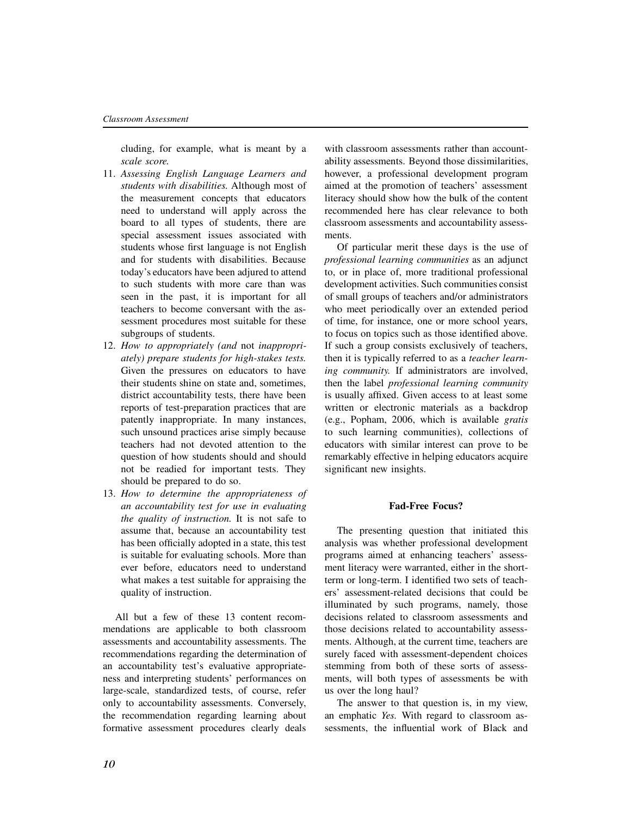cluding, for example, what is meant by a scale score.

- 11. Assessing English Language Learners and students with disabilities. Although most of the measurement concepts that educators need to understand will apply across the board to all types of students, there are special assessment issues associated with students whose first language is not English and for students with disabilities. Because today's educators have been adjured to attend to such students with more care than was seen in the past, it is important for all teachers to become conversant with the assessment procedures most suitable for these subgroups of students.
- 12. How to appropriately (and not inappropriately) prepare students for high-stakes tests. Given the pressures on educators to have their students shine on state and, sometimes, district accountability tests, there have been reports of test-preparation practices that are patently inappropriate. In many instances, such unsound practices arise simply because teachers had not devoted attention to the question of how students should and should not be readied for important tests. They should be prepared to do so.
- 13. How to determine the appropriateness of an accountability test for use in evaluating the quality of instruction. It is not safe to assume that, because an accountability test has been officially adopted in a state, this test is suitable for evaluating schools. More than ever before, educators need to understand what makes a test suitable for appraising the quality of instruction.

All but a few of these 13 content recommendations are applicable to both classroom assessments and accountability assessments. The recommendations regarding the determination of an accountability test's evaluative appropriateness and interpreting students' performances on large-scale, standardized tests, of course, refer only to accountability assessments. Conversely, the recommendation regarding learning about formative assessment procedures clearly deals

with classroom assessments rather than accountability assessments. Beyond those dissimilarities, however, a professional development program aimed at the promotion of teachers' assessment literacy should show how the bulk of the content recommended here has clear relevance to both classroom assessments and accountability assessments.

Of particular merit these days is the use of professional learning communities as an adjunct to, or in place of, more traditional professional development activities. Such communities consist of small groups of teachers and/or administrators who meet periodically over an extended period of time, for instance, one or more school years, to focus on topics such as those identified above. If such a group consists exclusively of teachers, then it is typically referred to as a teacher learning community. If administrators are involved, then the label professional learning community is usually affixed. Given access to at least some written or electronic materials as a backdrop (e.g., Popham, 2006, which is available gratis to such learning communities), collections of educators with similar interest can prove to be remarkably effective in helping educators acquire significant new insights.

### Fad-Free Focus?

The presenting question that initiated this analysis was whether professional development programs aimed at enhancing teachers' assessment literacy were warranted, either in the shortterm or long-term. I identified two sets of teachers' assessment-related decisions that could be illuminated by such programs, namely, those decisions related to classroom assessments and those decisions related to accountability assessments. Although, at the current time, teachers are surely faced with assessment-dependent choices stemming from both of these sorts of assessments, will both types of assessments be with us over the long haul?

The answer to that question is, in my view, an emphatic Yes. With regard to classroom assessments, the influential work of Black and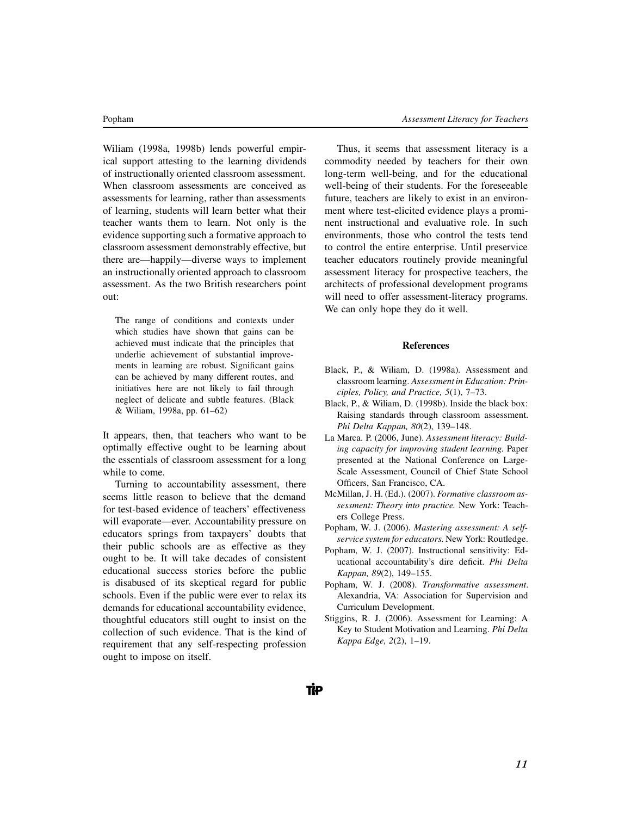Wiliam (1998a, 1998b) lends powerful empirical support attesting to the learning dividends of instructionally oriented classroom assessment. When classroom assessments are conceived as assessments for learning, rather than assessments of learning, students will learn better what their teacher wants them to learn. Not only is the evidence supporting such a formative approach to classroom assessment demonstrably effective, but there are—happily—diverse ways to implement an instructionally oriented approach to classroom assessment. As the two British researchers point out:

The range of conditions and contexts under which studies have shown that gains can be achieved must indicate that the principles that underlie achievement of substantial improvements in learning are robust. Significant gains can be achieved by many different routes, and initiatives here are not likely to fail through neglect of delicate and subtle features. (Black & Wiliam, 1998a, pp. 61–62)

It appears, then, that teachers who want to be optimally effective ought to be learning about the essentials of classroom assessment for a long while to come.

Turning to accountability assessment, there seems little reason to believe that the demand for test-based evidence of teachers' effectiveness will evaporate—ever. Accountability pressure on educators springs from taxpayers' doubts that their public schools are as effective as they ought to be. It will take decades of consistent educational success stories before the public is disabused of its skeptical regard for public schools. Even if the public were ever to relax its demands for educational accountability evidence, thoughtful educators still ought to insist on the collection of such evidence. That is the kind of requirement that any self-respecting profession ought to impose on itself.

Thus, it seems that assessment literacy is a commodity needed by teachers for their own long-term well-being, and for the educational well-being of their students. For the foreseeable future, teachers are likely to exist in an environment where test-elicited evidence plays a prominent instructional and evaluative role. In such environments, those who control the tests tend to control the entire enterprise. Until preservice teacher educators routinely provide meaningful assessment literacy for prospective teachers, the architects of professional development programs will need to offer assessment-literacy programs. We can only hope they do it well.

## References

- Black, P., & Wiliam, D. (1998a). Assessment and classroom learning. Assessment in Education: Principles, Policy, and Practice, 5(1), 7–73.
- Black, P., & Wiliam, D. (1998b). Inside the black box: Raising standards through classroom assessment. Phi Delta Kappan, 80(2), 139–148.
- La Marca. P. (2006, June). Assessment literacy: Building capacity for improving student learning. Paper presented at the National Conference on Large-Scale Assessment, Council of Chief State School Officers, San Francisco, CA.
- McMillan, J. H. (Ed.). (2007). Formative classroom assessment: Theory into practice. New York: Teachers College Press.
- Popham, W. J. (2006). Mastering assessment: A selfservice system for educators. New York: Routledge.
- Popham, W. J. (2007). Instructional sensitivity: Educational accountability's dire deficit. Phi Delta Kappan, 89(2), 149–155.
- Popham, W. J. (2008). Transformative assessment. Alexandria, VA: Association for Supervision and Curriculum Development.
- Stiggins, R. J. (2006). Assessment for Learning: A Key to Student Motivation and Learning. Phi Delta Kappa Edge, 2(2), 1–19.

TłP